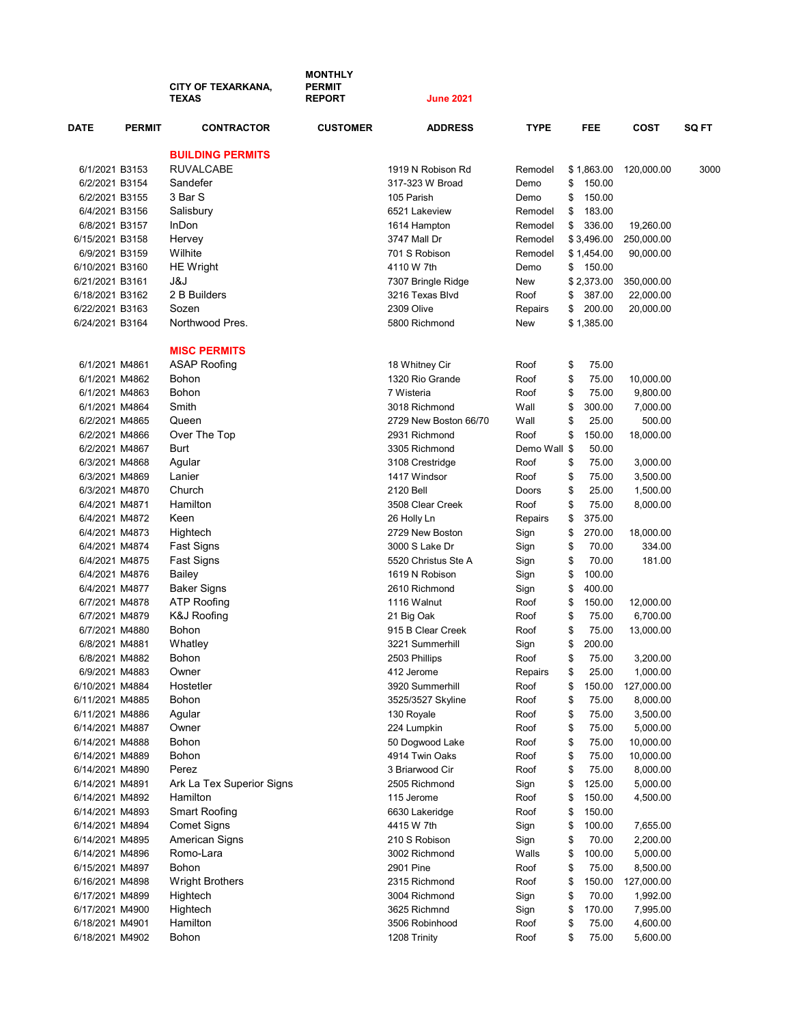|                                    |               | <b>CITY OF TEXARKANA.</b><br><b>TEXAS</b> | <b>MONTHLY</b><br><b>PERMIT</b><br><b>REPORT</b> | <b>June 2021</b>                     |              |          |                |                      |              |
|------------------------------------|---------------|-------------------------------------------|--------------------------------------------------|--------------------------------------|--------------|----------|----------------|----------------------|--------------|
| <b>DATE</b>                        | <b>PERMIT</b> | <b>CONTRACTOR</b>                         | <b>CUSTOMER</b>                                  | <b>ADDRESS</b>                       | <b>TYPE</b>  |          | <b>FEE</b>     | COST                 | <b>SQ FT</b> |
|                                    |               | <b>BUILDING PERMITS</b>                   |                                                  |                                      |              |          |                |                      |              |
| 6/1/2021 B3153                     |               | <b>RUVALCABE</b>                          |                                                  | 1919 N Robison Rd                    | Remodel      |          | \$1,863.00     | 120,000.00           | 3000         |
| 6/2/2021 B3154                     |               | Sandefer                                  |                                                  | 317-323 W Broad                      | Demo         | \$       | 150.00         |                      |              |
| 6/2/2021 B3155                     |               | 3 Bar S                                   |                                                  | 105 Parish                           | Demo         | \$       | 150.00         |                      |              |
| 6/4/2021 B3156                     |               | Salisbury                                 |                                                  | 6521 Lakeview                        | Remodel      | \$       | 183.00         |                      |              |
| 6/8/2021 B3157                     |               | InDon                                     |                                                  | 1614 Hampton                         | Remodel      | \$       | 336.00         | 19,260.00            |              |
| 6/15/2021 B3158                    |               | Hervey                                    |                                                  | 3747 Mall Dr                         | Remodel      |          | \$3,496.00     | 250,000.00           |              |
| 6/9/2021 B3159                     |               | Wilhite                                   |                                                  | 701 S Robison                        | Remodel      |          | \$1,454.00     | 90,000.00            |              |
| 6/10/2021 B3160                    |               | <b>HE Wright</b>                          |                                                  | 4110 W 7th                           | Demo         | \$       | 150.00         |                      |              |
| 6/21/2021 B3161                    |               | კ&Ј                                       |                                                  | 7307 Bringle Ridge                   | New          |          | \$2,373.00     | 350,000.00           |              |
| 6/18/2021 B3162                    |               | 2 B Builders                              |                                                  | 3216 Texas Blvd                      | Roof         | \$       | 387.00         | 22,000.00            |              |
| 6/22/2021 B3163                    |               | Sozen                                     |                                                  | 2309 Olive                           | Repairs      | \$       | 200.00         | 20,000.00            |              |
| 6/24/2021 B3164                    |               | Northwood Pres.                           |                                                  | 5800 Richmond                        | New          |          | \$1,385.00     |                      |              |
|                                    |               | <b>MISC PERMITS</b>                       |                                                  |                                      |              |          |                |                      |              |
| 6/1/2021 M4861                     |               | <b>ASAP Roofing</b>                       |                                                  | 18 Whitney Cir                       | Roof         | \$       | 75.00          |                      |              |
| 6/1/2021 M4862                     |               | Bohon                                     |                                                  | 1320 Rio Grande                      | Roof         | \$       | 75.00          | 10,000.00            |              |
| 6/1/2021 M4863                     |               | Bohon                                     |                                                  | 7 Wisteria                           | Roof         | \$       | 75.00          | 9,800.00             |              |
| 6/1/2021 M4864                     |               | Smith                                     |                                                  | 3018 Richmond                        | Wall         | \$       | 300.00         | 7,000.00             |              |
| 6/2/2021 M4865                     |               | Queen                                     |                                                  | 2729 New Boston 66/70                | Wall         | \$       | 25.00          | 500.00               |              |
| 6/2/2021 M4866                     |               | Over The Top                              |                                                  | 2931 Richmond                        | Roof         | \$       | 150.00         | 18,000.00            |              |
| 6/2/2021 M4867                     |               | Burt                                      |                                                  | 3305 Richmond                        | Demo Wall \$ |          | 50.00          |                      |              |
| 6/3/2021 M4868                     |               | Agular                                    |                                                  | 3108 Crestridge                      | Roof         | \$       | 75.00          | 3,000.00             |              |
| 6/3/2021 M4869                     |               | Lanier                                    |                                                  | 1417 Windsor                         | Roof         | \$       | 75.00          | 3,500.00             |              |
| 6/3/2021 M4870                     |               | Church                                    |                                                  | 2120 Bell                            | Doors        | \$       | 25.00          | 1,500.00             |              |
| 6/4/2021 M4871                     |               | Hamilton                                  |                                                  | 3508 Clear Creek                     | Roof         | \$       | 75.00          | 8,000.00             |              |
| 6/4/2021 M4872                     |               | Keen                                      |                                                  | 26 Holly Ln                          | Repairs      | \$       | 375.00         |                      |              |
| 6/4/2021 M4873                     |               | Hightech                                  |                                                  | 2729 New Boston                      | Sign         | \$       | 270.00         | 18,000.00            |              |
| 6/4/2021 M4874                     |               | Fast Signs                                |                                                  | 3000 S Lake Dr                       | Sign         | \$       | 70.00          | 334.00               |              |
| 6/4/2021 M4875                     |               | Fast Signs                                |                                                  | 5520 Christus Ste A                  | Sign         | \$       | 70.00          | 181.00               |              |
| 6/4/2021 M4876                     |               | Bailey                                    |                                                  | 1619 N Robison                       | Sign         | \$       | 100.00         |                      |              |
| 6/4/2021 M4877                     |               | <b>Baker Signs</b>                        |                                                  | 2610 Richmond                        | Sign         | \$       | 400.00         |                      |              |
| 6/7/2021 M4878                     |               | <b>ATP Roofing</b>                        |                                                  | 1116 Walnut                          | Roof         | \$       | 150.00         | 12,000.00            |              |
| 6/7/2021 M4879                     |               | K&J Roofing                               |                                                  | 21 Big Oak                           | Roof         | \$       | 75.00          | 6,700.00             |              |
| 6/7/2021 M4880                     |               | Bohon                                     |                                                  | 915 B Clear Creek                    | Roof         | \$       | 75.00          | 13,000.00            |              |
| 6/8/2021 M4881                     |               | Whatley                                   |                                                  | 3221 Summerhill                      | Sign         | \$       | 200.00         |                      |              |
| 6/8/2021 M4882                     |               | Bohon                                     |                                                  | 2503 Phillips                        | Roof         | \$       | 75.00          | 3,200.00             |              |
| 6/9/2021 M4883                     |               | Owner                                     |                                                  | 412 Jerome                           | Repairs      | \$       | 25.00          | 1,000.00             |              |
| 6/10/2021 M4884                    |               | Hostetler                                 |                                                  | 3920 Summerhill<br>3525/3527 Skyline | Roof         | \$       | 150.00         | 127,000.00           |              |
| 6/11/2021 M4885<br>6/11/2021 M4886 |               | Bohon<br>Agular                           |                                                  | 130 Royale                           | Roof<br>Roof | \$<br>\$ | 75.00<br>75.00 | 8,000.00<br>3,500.00 |              |
| 6/14/2021 M4887                    |               | Owner                                     |                                                  | 224 Lumpkin                          |              |          | 75.00          | 5,000.00             |              |
| 6/14/2021 M4888                    |               | Bohon                                     |                                                  | 50 Dogwood Lake                      | Roof<br>Roof | \$<br>\$ | 75.00          | 10,000.00            |              |
| 6/14/2021 M4889                    |               | Bohon                                     |                                                  | 4914 Twin Oaks                       | Roof         | \$       | 75.00          | 10,000.00            |              |
| 6/14/2021 M4890                    |               | Perez                                     |                                                  | 3 Briarwood Cir                      | Roof         | \$       | 75.00          | 8,000.00             |              |
| 6/14/2021 M4891                    |               | Ark La Tex Superior Signs                 |                                                  | 2505 Richmond                        | Sign         | \$       | 125.00         | 5,000.00             |              |
| 6/14/2021 M4892                    |               | Hamilton                                  |                                                  | 115 Jerome                           | Roof         | \$       | 150.00         | 4,500.00             |              |
| 6/14/2021 M4893                    |               | <b>Smart Roofing</b>                      |                                                  | 6630 Lakeridge                       | Roof         | \$       | 150.00         |                      |              |
| 6/14/2021 M4894                    |               | <b>Comet Signs</b>                        |                                                  | 4415 W 7th                           | Sign         | \$       | 100.00         | 7,655.00             |              |
| 6/14/2021 M4895                    |               | American Signs                            |                                                  | 210 S Robison                        | Sign         | \$       | 70.00          | 2,200.00             |              |
| 6/14/2021 M4896                    |               | Romo-Lara                                 |                                                  | 3002 Richmond                        | Walls        | \$       | 100.00         | 5,000.00             |              |
| 6/15/2021 M4897                    |               | Bohon                                     |                                                  | 2901 Pine                            | Roof         | \$       | 75.00          | 8,500.00             |              |
| 6/16/2021 M4898                    |               | <b>Wright Brothers</b>                    |                                                  | 2315 Richmond                        | Roof         | \$       | 150.00         | 127,000.00           |              |
| 6/17/2021 M4899                    |               | Hightech                                  |                                                  | 3004 Richmond                        | Sign         | \$       | 70.00          | 1,992.00             |              |
| 6/17/2021 M4900                    |               | Hightech                                  |                                                  | 3625 Richmnd                         | Sign         | \$       | 170.00         | 7,995.00             |              |
| 6/18/2021 M4901                    |               | Hamilton                                  |                                                  | 3506 Robinhood                       | Roof         | \$       | 75.00          | 4,600.00             |              |
| 6/18/2021 M4902                    |               | Bohon                                     |                                                  | 1208 Trinity                         | Roof         | \$       | 75.00          | 5,600.00             |              |
|                                    |               |                                           |                                                  |                                      |              |          |                |                      |              |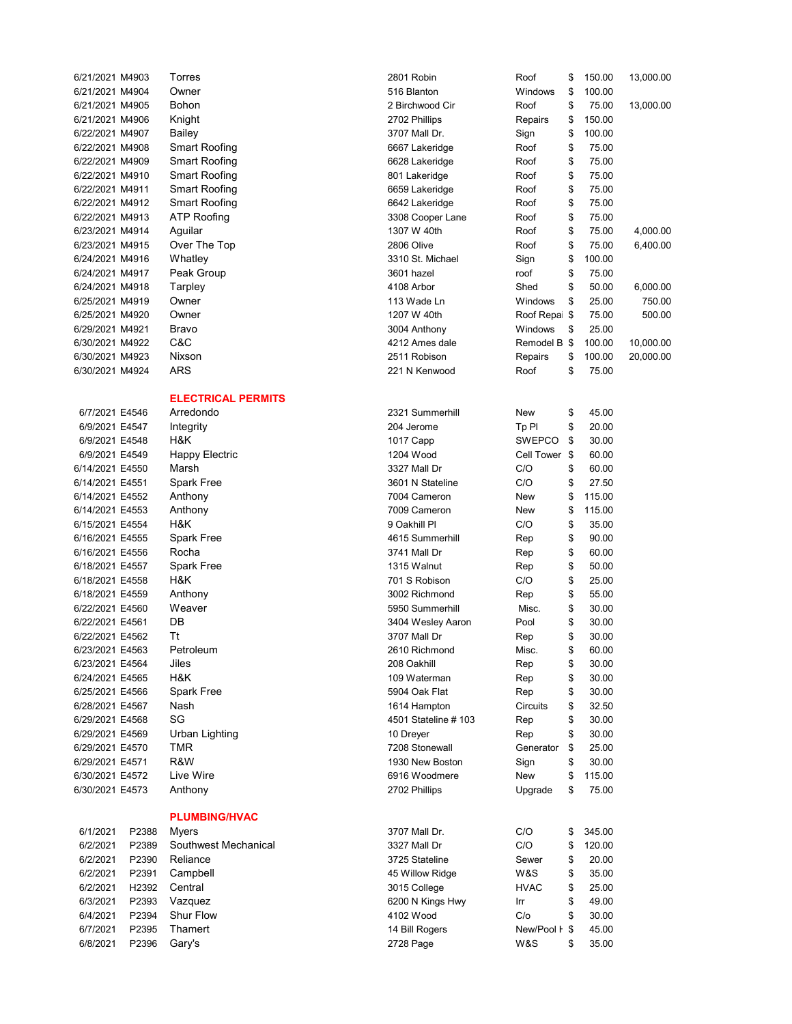| 6/21/2021 M4903 | Torres                    |
|-----------------|---------------------------|
| 6/21/2021 M4904 | Owner                     |
| 6/21/2021 M4905 | Bohon                     |
| 6/21/2021 M4906 | Knight                    |
| 6/22/2021 M4907 | Bailey                    |
| 6/22/2021 M4908 | Smart Roofing             |
| 6/22/2021 M4909 | Smart Roofing             |
| 6/22/2021 M4910 | Smart Roofing             |
| 6/22/2021 M4911 | Smart Roofing             |
| 6/22/2021 M4912 | Smart Roofing             |
| 6/22/2021 M4913 | ATP Roofing               |
| 6/23/2021 M4914 | Aguilar                   |
| 6/23/2021 M4915 | Over The Top              |
| 6/24/2021 M4916 | Whatley                   |
| 6/24/2021 M4917 | Peak Group                |
| 6/24/2021 M4918 | Tarpley                   |
| 6/25/2021 M4919 | Owner                     |
| 6/25/2021 M4920 | Owner                     |
| 6/29/2021 M4921 | Bravo                     |
| 6/30/2021 M4922 | C&C                       |
| 6/30/2021 M4923 | Nixson                    |
| 6/30/2021 M4924 | ARS                       |
|                 |                           |
|                 | <b>ELECTRICAL PERMITS</b> |
| 6/7/2021 E4546  | Arredondo                 |
| 6/9/2021 E4547  | Integrity                 |
| 6/9/2021 E4548  | H&K                       |
| 6/9/2021 E4549  | <b>Happy Electric</b>     |
| 6/14/2021 E4550 | Marsh                     |
| 6/14/2021 E4551 | Spark Free                |
| 6/14/2021 E4552 | Anthony                   |
| 6/14/2021 E4553 | Anthony                   |
| 6/15/2021 E4554 | H&K                       |
| 6/16/2021 E4555 | <b>Spark Free</b>         |
| 6/16/2021 E4556 | Rocha                     |
| 6/18/2021 E4557 | <b>Spark Free</b>         |
| 6/18/2021 E4558 | H&K                       |
| 6/18/2021 E4559 | Anthony                   |
| 6/22/2021 E4560 | Weaver                    |
| 6/22/2021 E4561 | DB                        |
| 6/22/2021 E4562 | Tt                        |
| 6/23/2021 E4563 | Petroleum                 |
| 6/23/2021 E4564 | Jiles                     |
| 6/24/2021 E4565 | H&K                       |
| 6/25/2021 E4566 | Spark Free                |
| 6/28/2021 E4567 | Nash                      |
| 6/29/2021 E4568 | SG                        |
| 6/29/2021 E4569 | Urban Lighting            |
| 6/29/2021 E4570 | TMR                       |
| 6/29/2021 E4571 | R&W                       |
| 6/30/2021 E4572 | Live Wire                 |
| 6/30/2021 E4573 | Anthony                   |
|                 | <b>PLUMBING/HVAC</b>      |

## 6/1/2021 P2388 Myers 6/2/2021 P2389 Southwest Mechanical

| 6/2/2021 | P2390 | Reliance         |
|----------|-------|------------------|
| 6/2/2021 | P2391 | Campbell         |
| 6/2/2021 | H2392 | Central          |
| 6/3/2021 | P2393 | Vazquez          |
| 6/4/2021 | P2394 | <b>Shur Flow</b> |
| 6/7/2021 | P2395 | Thamert          |
| 6/8/2021 | P2396 | Garv's           |

| 6/21/2021 M4903 |       | Torres                        | 2801 Robin           | Roof          | \$<br>150.00 | 13,000.00 |
|-----------------|-------|-------------------------------|----------------------|---------------|--------------|-----------|
| 6/21/2021 M4904 |       | Owner                         | 516 Blanton          | Windows       | \$<br>100.00 |           |
| 6/21/2021 M4905 |       | Bohon                         | 2 Birchwood Cir      | Roof          | \$<br>75.00  | 13,000.00 |
| 6/21/2021 M4906 |       | Knight                        | 2702 Phillips        | Repairs       | \$<br>150.00 |           |
| 6/22/2021 M4907 |       | Bailey                        | 3707 Mall Dr.        | Sign          | \$<br>100.00 |           |
| 6/22/2021 M4908 |       | <b>Smart Roofing</b>          | 6667 Lakeridge       | Roof          | \$<br>75.00  |           |
| 6/22/2021 M4909 |       | Smart Roofing                 | 6628 Lakeridge       | Roof          | \$<br>75.00  |           |
| 6/22/2021 M4910 |       | Smart Roofing                 | 801 Lakeridge        | Roof          | \$<br>75.00  |           |
| 6/22/2021 M4911 |       | Smart Roofing                 | 6659 Lakeridge       | Roof          | \$<br>75.00  |           |
| 6/22/2021 M4912 |       | Smart Roofing                 | 6642 Lakeridge       | Roof          | \$<br>75.00  |           |
| 6/22/2021 M4913 |       | <b>ATP Roofing</b>            | 3308 Cooper Lane     | Roof          | \$<br>75.00  |           |
| 6/23/2021 M4914 |       | Aguilar                       | 1307 W 40th          | Roof          | \$<br>75.00  | 4,000.00  |
| 6/23/2021 M4915 |       | Over The Top                  | 2806 Olive           | Roof          | \$<br>75.00  | 6,400.00  |
| 6/24/2021 M4916 |       | Whatley                       | 3310 St. Michael     | Sign          | \$<br>100.00 |           |
| 6/24/2021 M4917 |       | Peak Group                    | 3601 hazel           | roof          | \$<br>75.00  |           |
| 6/24/2021 M4918 |       | Tarpley                       | 4108 Arbor           | Shed          | \$<br>50.00  | 6,000.00  |
| 6/25/2021 M4919 |       | Owner                         | 113 Wade Ln          | Windows       | \$<br>25.00  | 750.00    |
| 6/25/2021 M4920 |       | Owner                         | 1207 W 40th          | Roof Repai \$ | 75.00        | 500.00    |
| 6/29/2021 M4921 |       | Bravo                         | 3004 Anthony         | Windows       | \$<br>25.00  |           |
| 6/30/2021 M4922 |       | C&C                           | 4212 Ames dale       | Remodel B \$  | 100.00       | 10,000.00 |
| 6/30/2021 M4923 |       | Nixson                        | 2511 Robison         | Repairs       | \$<br>100.00 | 20,000.00 |
| 6/30/2021 M4924 |       | ARS                           | 221 N Kenwood        | Roof          | \$<br>75.00  |           |
|                 |       | <b>ELECTRICAL PERMITS</b>     |                      |               |              |           |
| 6/7/2021 E4546  |       | Arredondo                     | 2321 Summerhill      | New           | \$<br>45.00  |           |
| 6/9/2021 E4547  |       | Integrity                     | 204 Jerome           | Tp Pl         | \$<br>20.00  |           |
| 6/9/2021 E4548  |       | H&K                           | 1017 Capp            | <b>SWEPCO</b> | \$<br>30.00  |           |
| 6/9/2021 E4549  |       | <b>Happy Electric</b>         | 1204 Wood            | Cell Tower \$ | 60.00        |           |
| 6/14/2021 E4550 |       | Marsh                         | 3327 Mall Dr         | C/O           | \$<br>60.00  |           |
| 6/14/2021 E4551 |       | Spark Free                    | 3601 N Stateline     | C/O           | \$<br>27.50  |           |
| 6/14/2021 E4552 |       | Anthony                       | 7004 Cameron         | New           | \$<br>115.00 |           |
| 6/14/2021 E4553 |       | Anthony                       | 7009 Cameron         | New           | \$<br>115.00 |           |
| 6/15/2021 E4554 |       | H&K                           | 9 Oakhill Pl         | C/O           | \$<br>35.00  |           |
| 6/16/2021 E4555 |       | <b>Spark Free</b>             | 4615 Summerhill      | Rep           | \$<br>90.00  |           |
| 6/16/2021 E4556 |       | Rocha                         | 3741 Mall Dr         | Rep           | \$<br>60.00  |           |
| 6/18/2021 E4557 |       | Spark Free                    | 1315 Walnut          | Rep           | \$<br>50.00  |           |
| 6/18/2021 E4558 |       | H&K                           | 701 S Robison        | C/O           | \$<br>25.00  |           |
| 6/18/2021 E4559 |       | Anthony                       | 3002 Richmond        | Rep           | \$<br>55.00  |           |
| 6/22/2021 E4560 |       | Weaver                        | 5950 Summerhill      | Misc.         | \$<br>30.00  |           |
| 6/22/2021 E4561 |       | DB                            | 3404 Wesley Aaron    | Pool          | \$<br>30.00  |           |
| 6/22/2021 E4562 |       | Τt                            | 3707 Mall Dr         | Rep           | \$<br>30.00  |           |
| 6/23/2021 E4563 |       | Petroleum                     | 2610 Richmond        | Misc.         | \$<br>60.00  |           |
| 6/23/2021 E4564 |       | Jiles                         | 208 Oakhill          | Rep           | \$<br>30.00  |           |
| 6/24/2021 E4565 |       | H&K                           | 109 Waterman         | Rep           | \$<br>30.00  |           |
| 6/25/2021 E4566 |       | Spark Free                    | 5904 Oak Flat        | Rep           | \$<br>30.00  |           |
| 6/28/2021 E4567 |       | Nash                          | 1614 Hampton         | Circuits      | \$<br>32.50  |           |
| 6/29/2021 E4568 |       | SG                            | 4501 Stateline # 103 | Rep           | \$<br>30.00  |           |
| 6/29/2021 E4569 |       | Urban Lighting                | 10 Dreyer            | Rep           | \$<br>30.00  |           |
| 6/29/2021 E4570 |       | TMR                           | 7208 Stonewall       | Generator     | \$<br>25.00  |           |
| 6/29/2021 E4571 |       | R&W                           | 1930 New Boston      |               | \$<br>30.00  |           |
| 6/30/2021 E4572 |       | Live Wire                     | 6916 Woodmere        | Sign<br>New   | \$<br>115.00 |           |
| 6/30/2021 E4573 |       | Anthony                       | 2702 Phillips        | Upgrade       | \$<br>75.00  |           |
|                 |       |                               |                      |               |              |           |
| 6/1/2021        | P2388 | <b>PLUMBING/HVAC</b><br>Myers | 3707 Mall Dr.        | C/O           | \$<br>345.00 |           |
| 6/2/2021        | P2389 | Southwest Mechanical          | 3327 Mall Dr         | C/O           | \$<br>120.00 |           |
| 6/2/2021        | P2390 | Reliance                      | 3725 Stateline       | Sewer         | \$<br>20.00  |           |
| 6/2/2021        | P2391 | Campbell                      | 45 Willow Ridge      | W&S           | \$<br>35.00  |           |
| 6/2/2021        | H2392 | Central                       | 3015 College         | <b>HVAC</b>   | \$<br>25.00  |           |
| 6/3/2021        | P2393 | Vazquez                       | 6200 N Kings Hwy     | Irr           | \$<br>49.00  |           |
| 6/4/2021        | P2394 | Shur Flow                     | 4102 Wood            | C/O           | \$<br>30.00  |           |
| 6/7/2021        | P2395 | Thamert                       | 14 Bill Rogers       | New/Pool F \$ | 45.00        |           |
| 6/8/2021        | P2396 | Gary's                        | 2728 Page            | W&S           | \$<br>35.00  |           |
|                 |       |                               |                      |               |              |           |